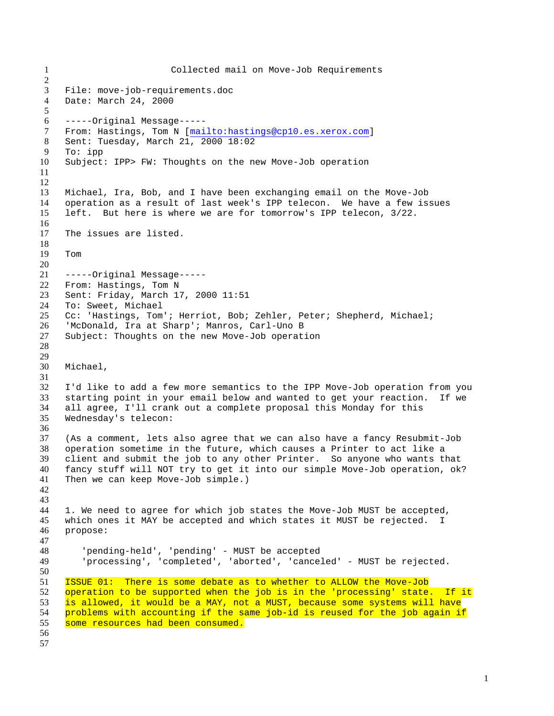Collected mail on Move-Job Requirements File: move-job-requirements.doc Date: March 24, 2000 -----Original Message----- From: Hastings, Tom N [mailto:hastings@cp10.es.xerox.com] Sent: Tuesday, March 21, 2000 18:02 To: ipp Subject: IPP> FW: Thoughts on the new Move-Job operation Michael, Ira, Bob, and I have been exchanging email on the Move-Job operation as a result of last week's IPP telecon. We have a few issues left. But here is where we are for tomorrow's IPP telecon, 3/22. The issues are listed. Tom -----Original Message----- From: Hastings, Tom N Sent: Friday, March 17, 2000 11:51 To: Sweet, Michael Cc: 'Hastings, Tom'; Herriot, Bob; Zehler, Peter; Shepherd, Michael; 'McDonald, Ira at Sharp'; Manros, Carl-Uno B Subject: Thoughts on the new Move-Job operation Michael, I'd like to add a few more semantics to the IPP Move-Job operation from you starting point in your email below and wanted to get your reaction. If we all agree, I'll crank out a complete proposal this Monday for this Wednesday's telecon: (As a comment, lets also agree that we can also have a fancy Resubmit-Job operation sometime in the future, which causes a Printer to act like a client and submit the job to any other Printer. So anyone who wants that fancy stuff will NOT try to get it into our simple Move-Job operation, ok? Then we can keep Move-Job simple.) 1. We need to agree for which job states the Move-Job MUST be accepted, which ones it MAY be accepted and which states it MUST be rejected. I propose: 'pending-held', 'pending' - MUST be accepted 'processing', 'completed', 'aborted', 'canceled' - MUST be rejected. ISSUE 01: There is some debate as to whether to ALLOW the Move-Job operation to be supported when the job is in the 'processing' state. If it is allowed, it would be a MAY, not a MUST, because some systems will have problems with accounting if the same job-id is reused for the job again if 55 some resources had been consumed.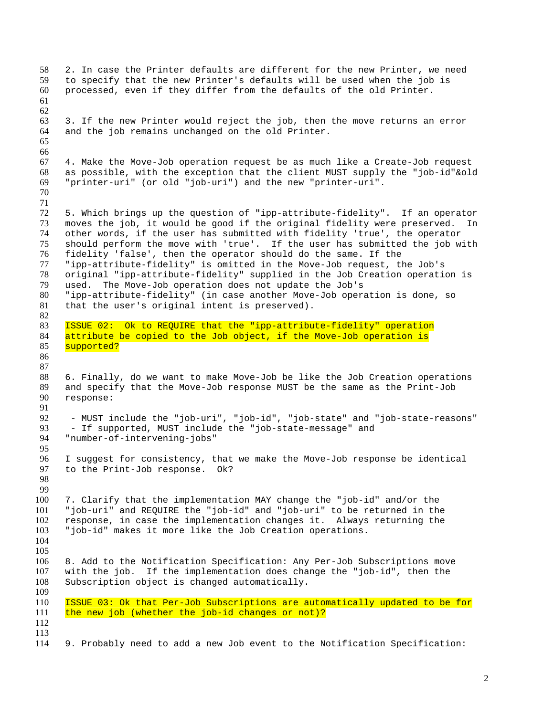```
58 2. In case the Printer defaults are different for the new Printer, we need
59 to specify that the new Printer's defaults will be used when the job is
60 processed, even if they differ from the defaults of the old Printer.
61
62
63 3. If the new Printer would reject the job, then the move returns an error
64 and the job remains unchanged on the old Printer.
65
66
67 4. Make the Move-Job operation request be as much like a Create-Job request
68 as possible, with the exception that the client MUST supply the "job-id"&old
69 "printer-uri" (or old "job-uri") and the new "printer-uri".
70
71
72 5. Which brings up the question of "ipp-attribute-fidelity". If an operator
     moves the job, it would be good if the original fidelity were preserved. In
74 other words, if the user has submitted with fidelity 'true', the operator<br>75 should perform the move with 'true'. If the user has submitted the job w
75 should perform the move with 'true'. If the user has submitted the job with<br>76 fidelity 'false', then the operator should do the same. If the
     fidelity 'false', then the operator should do the same. If the
77 "ipp-attribute-fidelity" is omitted in the Move-Job request, the Job's
78 original "ipp-attribute-fidelity" supplied in the Job Creation operation is
79 used. The Move-Job operation does not update the Job's
80 "ipp-attribute-fidelity" (in case another Move-Job operation is done, so
81 that the user's original intent is preserved).
82
83 ISSUE 02: Ok to REQUIRE that the "ipp-attribute-fidelity" operation
84 attribute be copied to the Job object, if the Move-Job operation is
85 supported?
86
87
88 6. Finally, do we want to make Move-Job be like the Job Creation operations
89 and specify that the Move-Job response MUST be the same as the Print-Job
90 response:
91
92 - MUST include the "job-uri", "job-id", "job-state" and "job-state-reasons"<br>93 - If supported, MUST include the "job-state-message" and
93 - If supported, MUST include the "job-state-message" and<br>94 "number-of-intervening-jobs"
      94 "number-of-intervening-jobs"
95
96 I suggest for consistency, that we make the Move-Job response be identical 97 to the Print-Job response. 0k?
     to the Print-Job response. Ok?
98
99
100 7. Clarify that the implementation MAY change the "job-id" and/or the
101 "job-uri" and REQUIRE the "job-id" and "job-uri" to be returned in the
102 response, in case the implementation changes it. Always returning the
103 "job-id" makes it more like the Job Creation operations.
104
105
106 8. Add to the Notification Specification: Any Per-Job Subscriptions move
107 with the job. If the implementation does change the "job-id", then the
108 Subscription object is changed automatically.
109
110 ISSUE 03: Ok that Per-Job Subscriptions are automatically updated to be for
111 the new job (whether the job-id changes or not)?
112
113
114 9. Probably need to add a new Job event to the Notification Specification:
```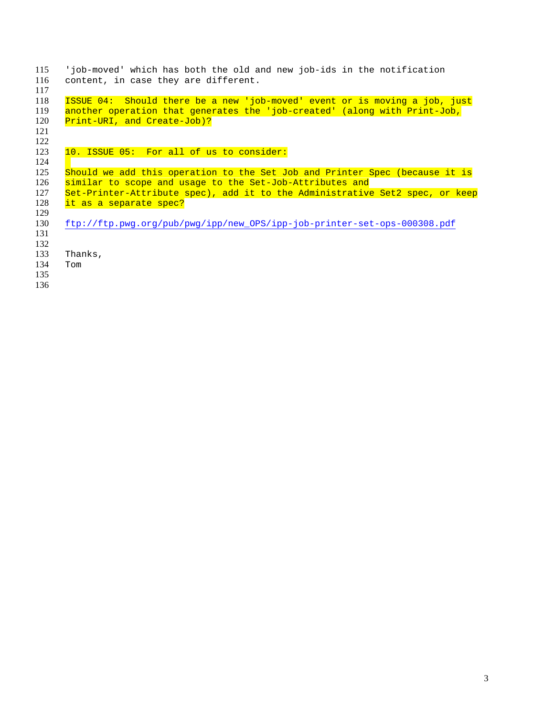| 115 | 'job-moved' which has both the old and new job-ids in the notification       |
|-----|------------------------------------------------------------------------------|
| 116 | content, in case they are different.                                         |
| 117 |                                                                              |
| 118 | ISSUE 04: Should there be a new 'job-moved' event or is moving a job, just   |
| 119 | another operation that generates the 'job-created' (along with Print-Job,    |
| 120 | Print-URI, and Create-Job)?                                                  |
| 121 |                                                                              |
| 122 |                                                                              |
| 123 | 10. ISSUE 05: For all of us to consider:                                     |
| 124 |                                                                              |
| 125 | Should we add this operation to the Set Job and Printer Spec (because it is  |
| 126 | similar to scope and usage to the Set-Job-Attributes and                     |
| 127 | Set-Printer-Attribute spec), add it to the Administrative Set2 spec, or keep |
| 128 | it as a separate spec?                                                       |
| 129 |                                                                              |
| 130 | ftp://ftp.pwg.org/pub/pwg/ipp/new_OPS/ipp-job-printer-set-ops-000308.pdf     |
| 131 |                                                                              |
| 132 |                                                                              |
| 133 | Thanks,                                                                      |
| 134 | Tom                                                                          |
| 135 |                                                                              |
| 136 |                                                                              |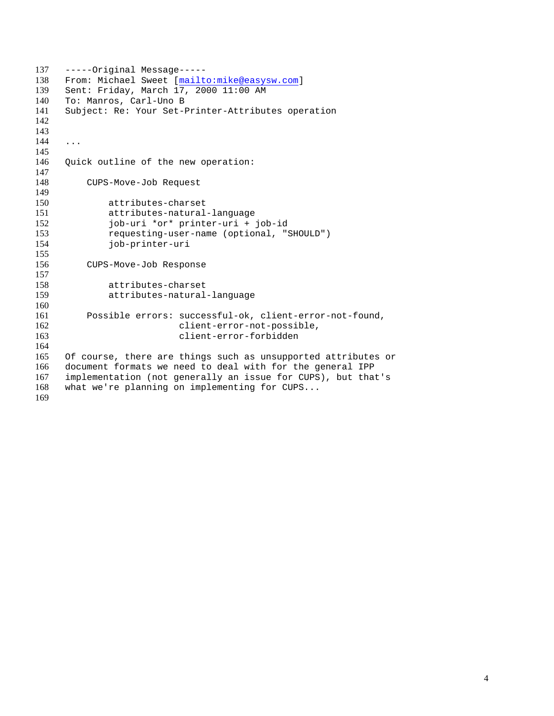-----Original Message----- From: Michael Sweet [mailto:mike@easysw.com] Sent: Friday, March 17, 2000 11:00 AM To: Manros, Carl-Uno B Subject: Re: Your Set-Printer-Attributes operation ... Quick outline of the new operation: CUPS-Move-Job Request attributes-charset 151 attributes-natural-language<br>152 job-uri \*or\* printer-uri + 152 job-uri \*or\* printer-uri + job-id<br>153 requesting-user-name (optional, ") 153 requesting-user-name (optional, "SHOULD")<br>154 job-printer-uri job-printer-uri CUPS-Move-Job Response attributes-charset attributes-natural-language Possible errors: successful-ok, client-error-not-found, 162 client-error-not-possible, client-error-forbidden Of course, there are things such as unsupported attributes or document formats we need to deal with for the general IPP implementation (not generally an issue for CUPS), but that's what we're planning on implementing for CUPS...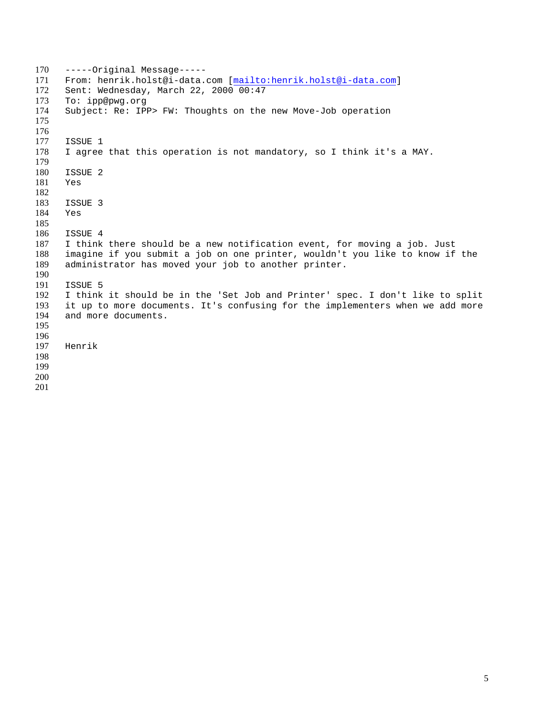-----Original Message----- From: henrik.holst@i-data.com [mailto:henrik.holst@i-data.com] Sent: Wednesday, March 22, 2000 00:47 To: ipp@pwg.org Subject: Re: IPP> FW: Thoughts on the new Move-Job operation 177 ISSUE 1<br>178 I agree I agree that this operation is not mandatory, so I think it's a MAY. ISSUE 2 Yes ISSUE 3 Yes 186 ISSUE 4<br>187 I think 187 I think there should be a new notification event, for moving a job. Just<br>188 imagine if you submit a job on one printer, wouldn't you like to know if imagine if you submit a job on one printer, wouldn't you like to know if the administrator has moved your job to another printer. ISSUE 5 I think it should be in the 'Set Job and Printer' spec. I don't like to split 193 it up to more documents. It's confusing for the implementers when we add more 194 and more documents. and more documents. Henrik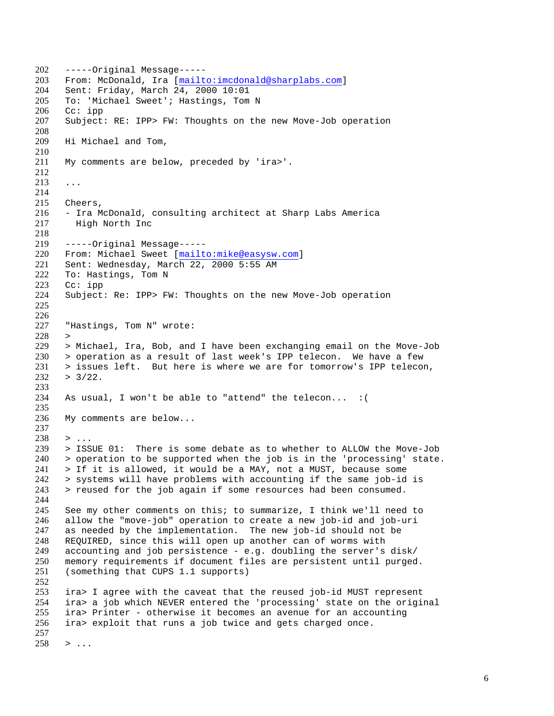-----Original Message----- From: McDonald, Ira [mailto:imcdonald@sharplabs.com] Sent: Friday, March 24, 2000 10:01 To: 'Michael Sweet'; Hastings, Tom N Cc: ipp Subject: RE: IPP> FW: Thoughts on the new Move-Job operation Hi Michael and Tom, My comments are below, preceded by 'ira>'. ... Cheers, - Ira McDonald, consulting architect at Sharp Labs America High North Inc -----Original Message----- 220 From: Michael Sweet [mailto:mike@easysw.com]<br>221 Sent: Wednesday, March 22, 2000 5:55 AM Sent: Wednesday, March 22, 2000 5:55 AM To: Hastings, Tom N Cc: ipp Subject: Re: IPP> FW: Thoughts on the new Move-Job operation "Hastings, Tom N" wrote: > > Michael, Ira, Bob, and I have been exchanging email on the Move-Job > operation as a result of last week's IPP telecon. We have a few > issues left. But here is where we are for tomorrow's IPP telecon,  $232 > 3/22$ . As usual, I won't be able to "attend" the telecon... :( My comments are below... > ... > ISSUE 01: There is some debate as to whether to ALLOW the Move-Job > operation to be supported when the job is in the 'processing' state. > If it is allowed, it would be a MAY, not a MUST, because some > systems will have problems with accounting if the same job-id is > reused for the job again if some resources had been consumed. See my other comments on this; to summarize, I think we'll need to allow the "move-job" operation to create a new job-id and job-uri as needed by the implementation. The new job-id should not be REQUIRED, since this will open up another can of worms with 249 accounting and job persistence - e.g. doubling the server's disk/<br>250 memory requirements if document files are persistent until purged memory requirements if document files are persistent until purged. (something that CUPS 1.1 supports) ira> I agree with the caveat that the reused job-id MUST represent ira> a job which NEVER entered the 'processing' state on the original ira> Printer - otherwise it becomes an avenue for an accounting ira> exploit that runs a job twice and gets charged once. > ...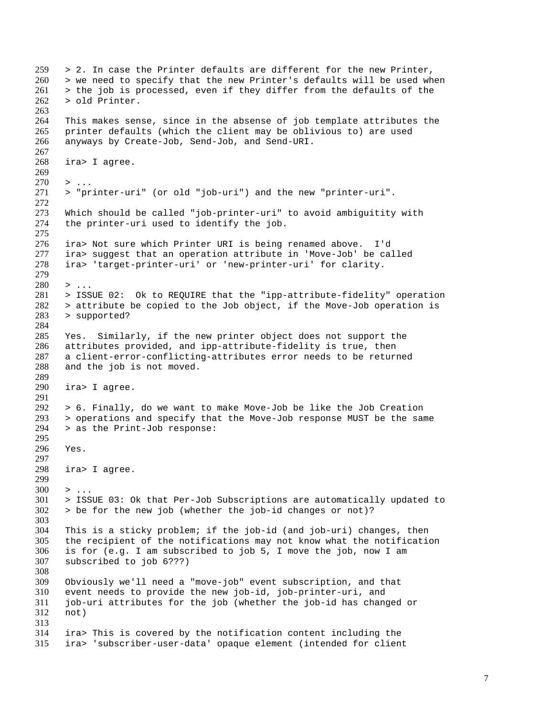> 2. In case the Printer defaults are different for the new Printer, > we need to specify that the new Printer's defaults will be used when > the job is processed, even if they differ from the defaults of the > old Printer. This makes sense, since in the absense of job template attributes the printer defaults (which the client may be oblivious to) are used anyways by Create-Job, Send-Job, and Send-URI. ira> I agree. > ... > "printer-uri" (or old "job-uri") and the new "printer-uri". 273 Which should be called "job-printer-uri" to avoid ambiguitity with<br>274 the printer-uri used to identify the job. the printer-uri used to identify the job. 276 ira> Not sure which Printer URI is being renamed above. I'd<br>277 ira> suqqest that an operation attribute in 'Move-Job' be ca 277 ira> suggest that an operation attribute in 'Move-Job' be called<br>278 ira> 'target-printer-uri' or 'new-printer-uri' for clarity. ira> 'target-printer-uri' or 'new-printer-uri' for clarity.  $280 \rightarrow \ldots$  > ISSUE 02: Ok to REQUIRE that the "ipp-attribute-fidelity" operation > attribute be copied to the Job object, if the Move-Job operation is > supported? Yes. Similarly, if the new printer object does not support the attributes provided, and ipp-attribute-fidelity is true, then a client-error-conflicting-attributes error needs to be returned and the job is not moved. ira> I agree. > 6. Finally, do we want to make Move-Job be like the Job Creation  $293$  > operations and specify that the Move-Job response MUST be the same 293 > operations and specify that the Move-Job response MUST be the same > as the Print-Job response: > as the Print-Job response: Yes. ira> I agree.  $300 \rightarrow \ldots$  > ISSUE 03: Ok that Per-Job Subscriptions are automatically updated to > be for the new job (whether the job-id changes or not)? This is a sticky problem; if the job-id (and job-uri) changes, then the recipient of the notifications may not know what the notification 306 is for (e.g. I am subscribed to job 5, I move the job, now I am subscribed to job 6???) subscribed to job 6???) Obviously we'll need a "move-job" event subscription, and that event needs to provide the new job-id, job-printer-uri, and job-uri attributes for the job (whether the job-id has changed or not) ira> This is covered by the notification content including the ira> 'subscriber-user-data' opaque element (intended for client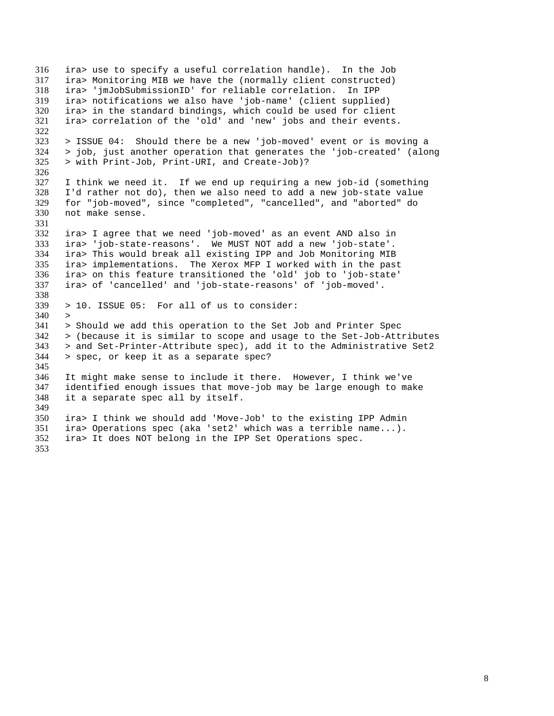ira> use to specify a useful correlation handle). In the Job ira> Monitoring MIB we have the (normally client constructed) ira> 'jmJobSubmissionID' for reliable correlation. In IPP ira> notifications we also have 'job-name' (client supplied) ira> in the standard bindings, which could be used for client ira> correlation of the 'old' and 'new' jobs and their events. > ISSUE 04: Should there be a new 'job-moved' event or is moving a > job, just another operation that generates the 'job-created' (along > with Print-Job, Print-URI, and Create-Job)? I think we need it. If we end up requiring a new job-id (something I'd rather not do), then we also need to add a new job-state value for "job-moved", since "completed", "cancelled", and "aborted" do not make sense. ira> I agree that we need 'job-moved' as an event AND also in ira> 'job-state-reasons'. We MUST NOT add a new 'job-state'. ira> This would break all existing IPP and Job Monitoring MIB ira> implementations. The Xerox MFP I worked with in the past ira> on this feature transitioned the 'old' job to 'job-state' ira> of 'cancelled' and 'job-state-reasons' of 'job-moved'. > 10. ISSUE 05: For all of us to consider:  $340 >$  > Should we add this operation to the Set Job and Printer Spec > (because it is similar to scope and usage to the Set-Job-Attributes > and Set-Printer-Attribute spec), add it to the Administrative Set2 > spec, or keep it as a separate spec? It might make sense to include it there. However, I think we've identified enough issues that move-job may be large enough to make it a separate spec all by itself. ira> I think we should add 'Move-Job' to the existing IPP Admin ira> Operations spec (aka 'set2' which was a terrible name...). ira> It does NOT belong in the IPP Set Operations spec.